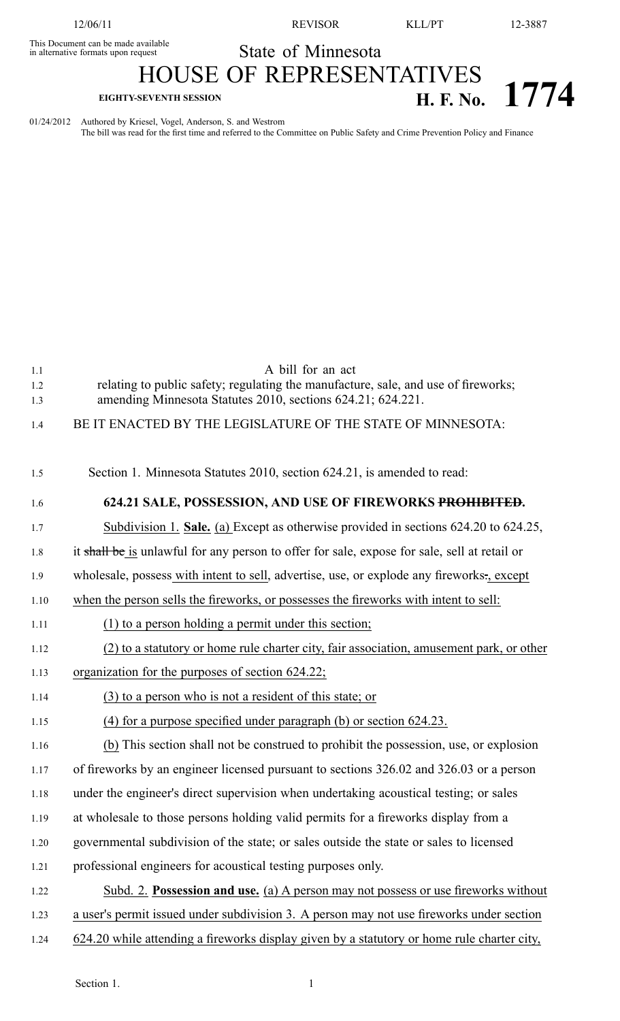This Document can be made available

12/06/11 REVISOR KLL/PT 12-3887

## in alternative formats upon request State of Minnesota

## HOUSE OF REPRESENTATIVES

## **EIGHTY-SEVENTH SESSION H. F. No. 1774**

01/24/2012 Authored by Kriesel, Vogel, Anderson, S. and Westrom The bill was read for the first time and referred to the Committee on Public Safety and Crime Prevention Policy and Finance

1.1 A bill for an act 1.2 relating to public safety; regulating the manufacture, sale, and use of fireworks; 1.3 amending Minnesota Statutes 2010, sections 624.21; 624.221. 1.4 BE IT ENACTED BY THE LEGISLATURE OF THE STATE OF MINNESOTA: 1.5 Section 1. Minnesota Statutes 2010, section 624.21, is amended to read: 1.6 **624.21 SALE, POSSESSION, AND USE OF FIREWORKS PROHIBITED.** 1.7 Subdivision 1. **Sale.** (a) Except as otherwise provided in sections 624.20 to 624.25, 1.8 it shall be is unlawful for any person to offer for sale, expose for sale, sell at retail or 1.9 wholesale, possess with intent to sell, advertise, use, or explode any fireworks-, except 1.10 when the person sells the fireworks, or possesses the fireworks with intent to sell: 1.11 (1) to <sup>a</sup> person holding <sup>a</sup> permit under this section; 1.12 (2) to <sup>a</sup> statutory or home rule charter city, fair association, amusement park, or other 1.13 organization for the purposes of section 624.22; 1.14 (3) to <sup>a</sup> person who is not <sup>a</sup> resident of this state; or 1.15 (4) for <sup>a</sup> purpose specified under paragraph (b) or section 624.23. 1.16 (b) This section shall not be construed to prohibit the possession, use, or explosion 1.17 of fireworks by an engineer licensed pursuan<sup>t</sup> to sections 326.02 and 326.03 or <sup>a</sup> person 1.18 under the engineer's direct supervision when undertaking acoustical testing; or sales 1.19 at wholesale to those persons holding valid permits for <sup>a</sup> fireworks display from <sup>a</sup> 1.20 governmental subdivision of the state; or sales outside the state or sales to licensed 1.21 professional engineers for acoustical testing purposes only. 1.22 Subd. 2. **Possession and use.** (a) A person may not possess or use fireworks without 1.23 <sup>a</sup> user's permit issued under subdivision 3. A person may not use fireworks under section 1.24 624.20 while attending <sup>a</sup> fireworks display given by <sup>a</sup> statutory or home rule charter city,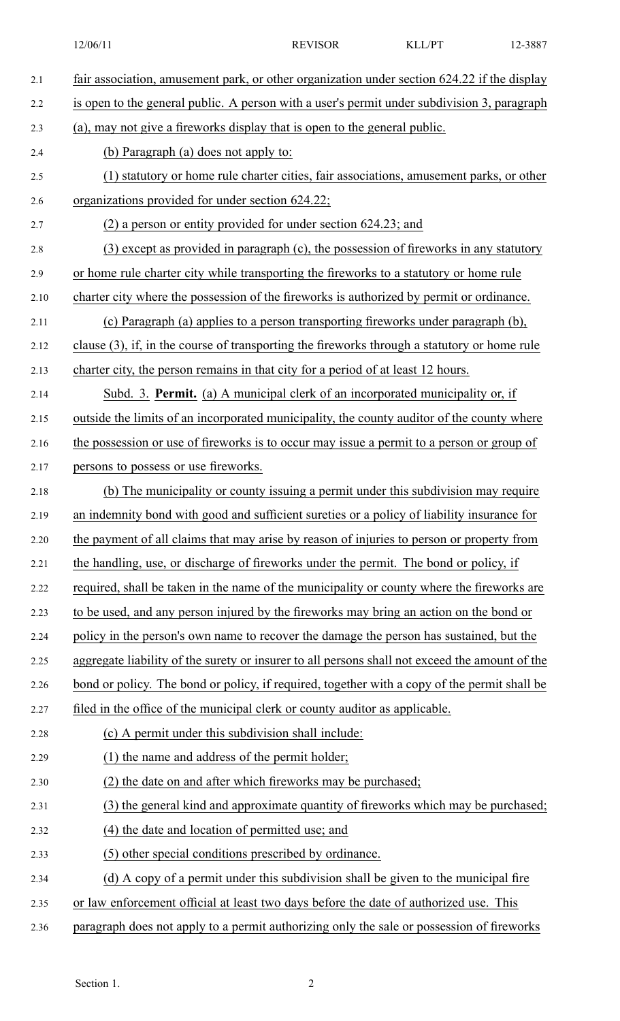| 2.1  | fair association, amusement park, or other organization under section 624.22 if the display    |  |  |  |
|------|------------------------------------------------------------------------------------------------|--|--|--|
| 2.2  | is open to the general public. A person with a user's permit under subdivision 3, paragraph    |  |  |  |
| 2.3  | (a), may not give a fireworks display that is open to the general public.                      |  |  |  |
| 2.4  | (b) Paragraph (a) does not apply to:                                                           |  |  |  |
| 2.5  | (1) statutory or home rule charter cities, fair associations, amusement parks, or other        |  |  |  |
| 2.6  | organizations provided for under section 624.22;                                               |  |  |  |
| 2.7  | $(2)$ a person or entity provided for under section 624.23; and                                |  |  |  |
| 2.8  | (3) except as provided in paragraph (c), the possession of fireworks in any statutory          |  |  |  |
| 2.9  | or home rule charter city while transporting the fireworks to a statutory or home rule         |  |  |  |
| 2.10 | charter city where the possession of the fireworks is authorized by permit or ordinance.       |  |  |  |
| 2.11 | (c) Paragraph (a) applies to a person transporting fireworks under paragraph (b),              |  |  |  |
| 2.12 | clause (3), if, in the course of transporting the fireworks through a statutory or home rule   |  |  |  |
| 2.13 | charter city, the person remains in that city for a period of at least 12 hours.               |  |  |  |
| 2.14 | Subd. 3. Permit. (a) A municipal clerk of an incorporated municipality or, if                  |  |  |  |
| 2.15 | outside the limits of an incorporated municipality, the county auditor of the county where     |  |  |  |
| 2.16 | the possession or use of fireworks is to occur may issue a permit to a person or group of      |  |  |  |
| 2.17 | persons to possess or use fireworks.                                                           |  |  |  |
| 2.18 | (b) The municipality or county issuing a permit under this subdivision may require             |  |  |  |
| 2.19 | an indemnity bond with good and sufficient sureties or a policy of liability insurance for     |  |  |  |
| 2.20 | the payment of all claims that may arise by reason of injuries to person or property from      |  |  |  |
| 2.21 | the handling, use, or discharge of fireworks under the permit. The bond or policy, if          |  |  |  |
| 2.22 | required, shall be taken in the name of the municipality or county where the fireworks are     |  |  |  |
| 2.23 | to be used, and any person injured by the fireworks may bring an action on the bond or         |  |  |  |
| 2.24 | policy in the person's own name to recover the damage the person has sustained, but the        |  |  |  |
| 2.25 | aggregate liability of the surety or insurer to all persons shall not exceed the amount of the |  |  |  |
| 2.26 | bond or policy. The bond or policy, if required, together with a copy of the permit shall be   |  |  |  |
| 2.27 | filed in the office of the municipal clerk or county auditor as applicable.                    |  |  |  |
| 2.28 | (c) A permit under this subdivision shall include:                                             |  |  |  |
| 2.29 | (1) the name and address of the permit holder;                                                 |  |  |  |
| 2.30 | (2) the date on and after which fireworks may be purchased;                                    |  |  |  |
| 2.31 | (3) the general kind and approximate quantity of fireworks which may be purchased;             |  |  |  |
| 2.32 | (4) the date and location of permitted use; and                                                |  |  |  |
| 2.33 | (5) other special conditions prescribed by ordinance.                                          |  |  |  |
| 2.34 | (d) A copy of a permit under this subdivision shall be given to the municipal fire             |  |  |  |
| 2.35 | or law enforcement official at least two days before the date of authorized use. This          |  |  |  |
| 2.36 | paragraph does not apply to a permit authorizing only the sale or possession of fireworks      |  |  |  |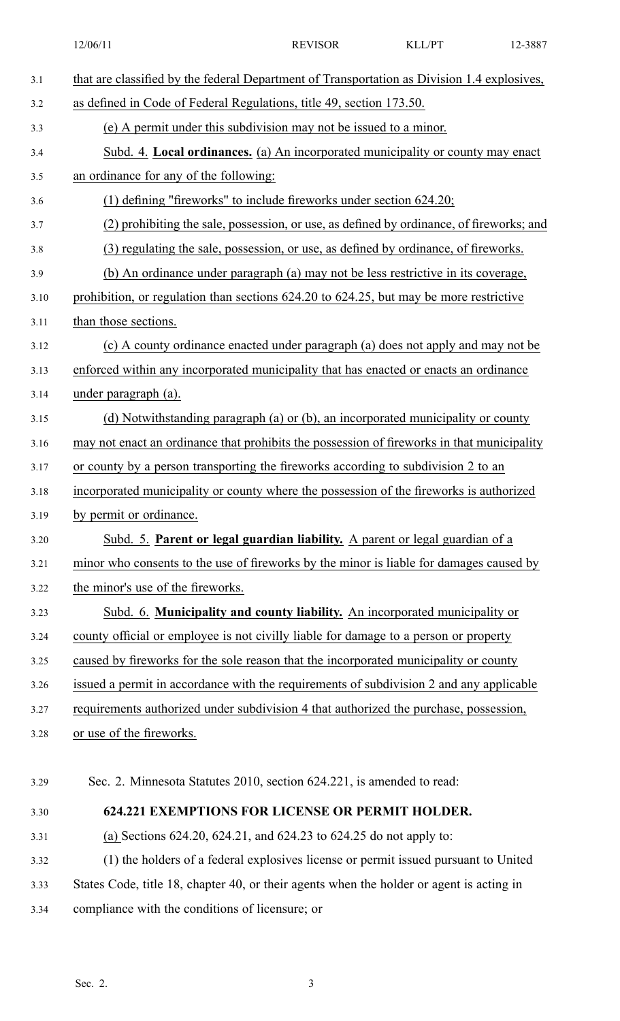|      | 12/06/11                                                                                    | <b>REVISOR</b> | KLL/PT | 12-3887 |  |
|------|---------------------------------------------------------------------------------------------|----------------|--------|---------|--|
| 3.1  | that are classified by the federal Department of Transportation as Division 1.4 explosives, |                |        |         |  |
| 3.2  | as defined in Code of Federal Regulations, title 49, section 173.50.                        |                |        |         |  |
| 3.3  | (e) A permit under this subdivision may not be issued to a minor.                           |                |        |         |  |
| 3.4  | Subd. 4. Local ordinances. (a) An incorporated municipality or county may enact             |                |        |         |  |
| 3.5  | an ordinance for any of the following:                                                      |                |        |         |  |
| 3.6  | $(1)$ defining "fireworks" to include fireworks under section 624.20;                       |                |        |         |  |
| 3.7  | (2) prohibiting the sale, possession, or use, as defined by ordinance, of fireworks; and    |                |        |         |  |
| 3.8  | (3) regulating the sale, possession, or use, as defined by ordinance, of fireworks.         |                |        |         |  |
| 3.9  | (b) An ordinance under paragraph (a) may not be less restrictive in its coverage,           |                |        |         |  |
| 3.10 | prohibition, or regulation than sections 624.20 to 624.25, but may be more restrictive      |                |        |         |  |
| 3.11 | than those sections.                                                                        |                |        |         |  |
| 3.12 | (c) A county ordinance enacted under paragraph (a) does not apply and may not be            |                |        |         |  |
| 3.13 | enforced within any incorporated municipality that has enacted or enacts an ordinance       |                |        |         |  |
| 3.14 | under paragraph (a).                                                                        |                |        |         |  |
| 3.15 | (d) Notwithstanding paragraph (a) or (b), an incorporated municipality or county            |                |        |         |  |
| 3.16 | may not enact an ordinance that prohibits the possession of fireworks in that municipality  |                |        |         |  |
| 3.17 | or county by a person transporting the fireworks according to subdivision 2 to an           |                |        |         |  |
| 3.18 | incorporated municipality or county where the possession of the fireworks is authorized     |                |        |         |  |
| 3.19 | by permit or ordinance.                                                                     |                |        |         |  |
| 3.20 | Subd. 5. Parent or legal guardian liability. A parent or legal guardian of a                |                |        |         |  |
| 3.21 | minor who consents to the use of fireworks by the minor is liable for damages caused by     |                |        |         |  |
| 3.22 | the minor's use of the fireworks.                                                           |                |        |         |  |
| 3.23 | Subd. 6. Municipality and county liability. An incorporated municipality or                 |                |        |         |  |
| 3.24 | county official or employee is not civilly liable for damage to a person or property        |                |        |         |  |
| 3.25 | caused by fireworks for the sole reason that the incorporated municipality or county        |                |        |         |  |
| 3.26 | issued a permit in accordance with the requirements of subdivision 2 and any applicable     |                |        |         |  |
| 3.27 | requirements authorized under subdivision 4 that authorized the purchase, possession,       |                |        |         |  |
| 3.28 | or use of the fireworks.                                                                    |                |        |         |  |
|      |                                                                                             |                |        |         |  |
| 3.29 | Sec. 2. Minnesota Statutes 2010, section 624.221, is amended to read:                       |                |        |         |  |
| 3.30 | <b>624.221 EXEMPTIONS FOR LICENSE OR PERMIT HOLDER.</b>                                     |                |        |         |  |
| 3.31 | (a) Sections $624.20$ , $624.21$ , and $624.23$ to $624.25$ do not apply to:                |                |        |         |  |
| 3.32 | (1) the holders of a federal explosives license or permit issued pursuant to United         |                |        |         |  |
| 3.33 | States Code, title 18, chapter 40, or their agents when the holder or agent is acting in    |                |        |         |  |
| 3.34 | compliance with the conditions of licensure; or                                             |                |        |         |  |
|      |                                                                                             |                |        |         |  |